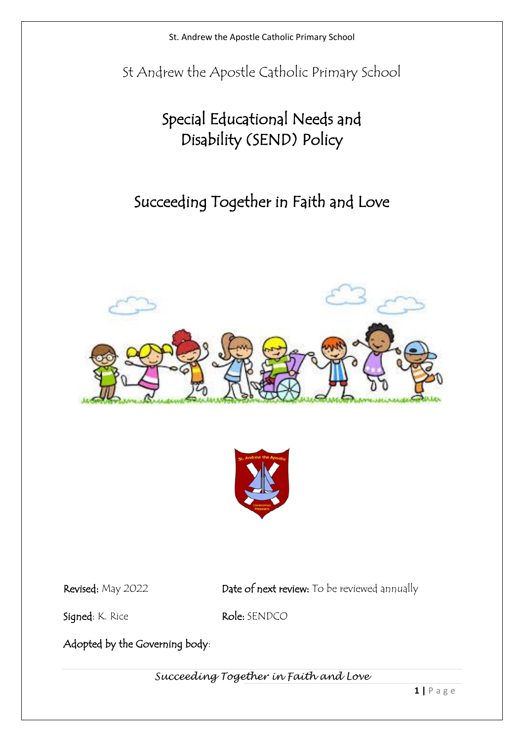St Andrew the Apostle Catholic Primary School

# Special Educational Needs and Disability (SEND) Policy

# Succeeding Together in Faith and Love





Revised: May 2022 Date of next review: To be reviewed annually

Signed: K. Rice Role: SENDCO

Adopted by the Governing body: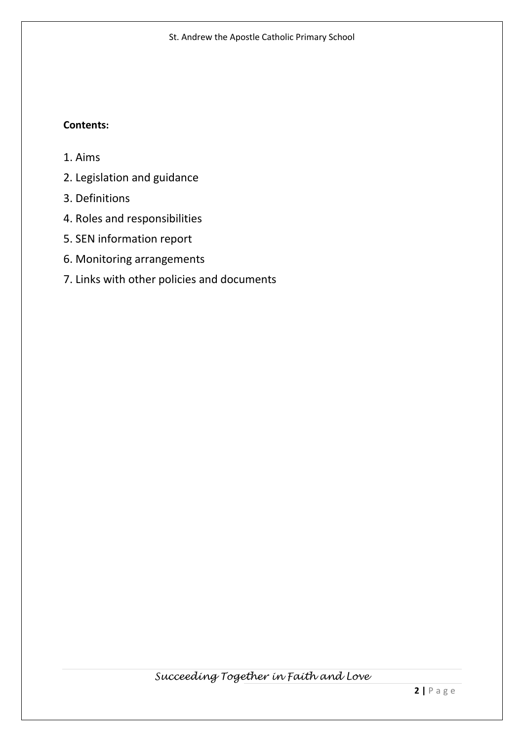# **Contents:**

- 1. Aims
- 2. Legislation and guidance
- 3. Definitions
- 4. Roles and responsibilities
- 5. SEN information report
- 6. Monitoring arrangements
- 7. Links with other policies and documents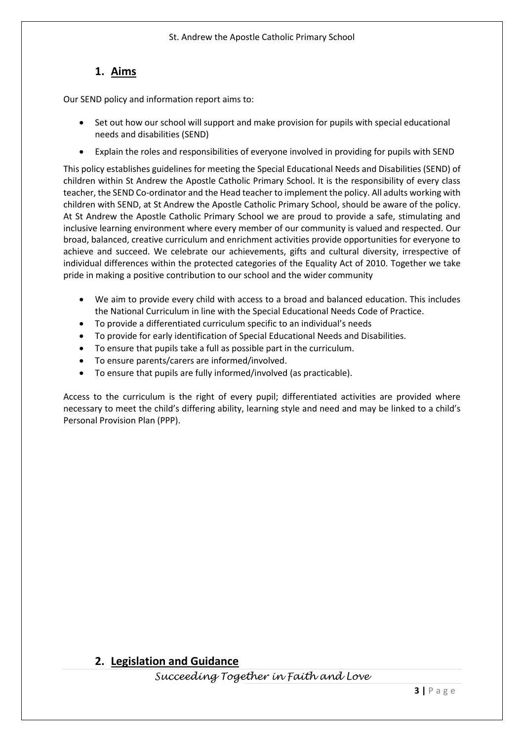# **1. Aims**

Our SEND policy and information report aims to:

- Set out how our school will support and make provision for pupils with special educational needs and disabilities (SEND)
- Explain the roles and responsibilities of everyone involved in providing for pupils with SEND

This policy establishes guidelines for meeting the Special Educational Needs and Disabilities (SEND) of children within St Andrew the Apostle Catholic Primary School. It is the responsibility of every class teacher, the SEND Co-ordinator and the Head teacher to implement the policy. All adults working with children with SEND, at St Andrew the Apostle Catholic Primary School, should be aware of the policy. At St Andrew the Apostle Catholic Primary School we are proud to provide a safe, stimulating and inclusive learning environment where every member of our community is valued and respected. Our broad, balanced, creative curriculum and enrichment activities provide opportunities for everyone to achieve and succeed. We celebrate our achievements, gifts and cultural diversity, irrespective of individual differences within the protected categories of the Equality Act of 2010. Together we take pride in making a positive contribution to our school and the wider community

- We aim to provide every child with access to a broad and balanced education. This includes the National Curriculum in line with the Special Educational Needs Code of Practice.
- To provide a differentiated curriculum specific to an individual's needs
- To provide for early identification of Special Educational Needs and Disabilities.
- To ensure that pupils take a full as possible part in the curriculum.
- To ensure parents/carers are informed/involved.
- To ensure that pupils are fully informed/involved (as practicable).

Access to the curriculum is the right of every pupil; differentiated activities are provided where necessary to meet the child's differing ability, learning style and need and may be linked to a child's Personal Provision Plan (PPP).

# **2. Legislation and Guidance**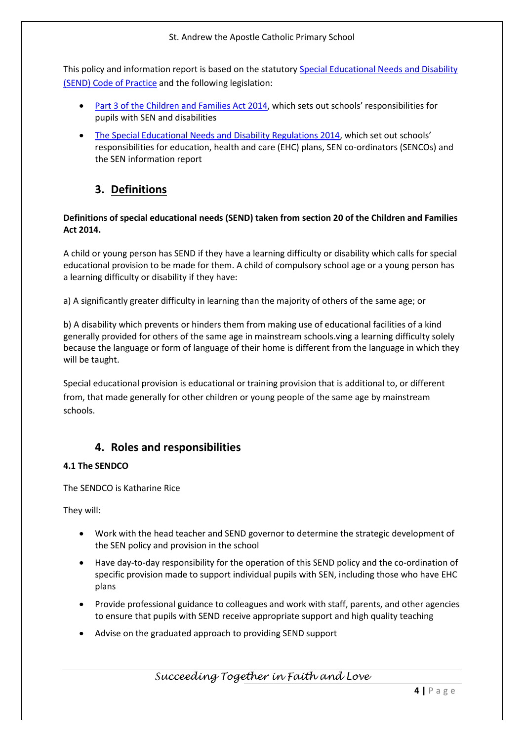This policy and information report is based on the statutor[y Special Educational Needs and Disability](https://www.gov.uk/government/uploads/system/uploads/attachment_data/file/398815/SEND_Code_of_Practice_January_2015.pdf)  [\(SEND\) Code of Practice](https://www.gov.uk/government/uploads/system/uploads/attachment_data/file/398815/SEND_Code_of_Practice_January_2015.pdf) and the following legislation:

- [Part 3 of the Children and Families Act 2014](http://www.legislation.gov.uk/ukpga/2014/6/part/3), which sets out schools' responsibilities for pupils with SEN and disabilities
- [The Special Educational Needs and Disability Regulations 2014](http://www.legislation.gov.uk/uksi/2014/1530/contents/made), which set out schools' responsibilities for education, health and care (EHC) plans, SEN co-ordinators (SENCOs) and the SEN information report

# **3. Definitions**

# **Definitions of special educational needs (SEND) taken from section 20 of the Children and Families Act 2014.**

A child or young person has SEND if they have a learning difficulty or disability which calls for special educational provision to be made for them. A child of compulsory school age or a young person has a learning difficulty or disability if they have:

a) A significantly greater difficulty in learning than the majority of others of the same age; or

b) A disability which prevents or hinders them from making use of educational facilities of a kind generally provided for others of the same age in mainstream schools.ving a learning difficulty solely because the language or form of language of their home is different from the language in which they will be taught.

Special educational provision is educational or training provision that is additional to, or different from, that made generally for other children or young people of the same age by mainstream schools.

# **4. Roles and responsibilities**

## **4.1 The SENDCO**

The SENDCO is Katharine Rice

They will:

- Work with the head teacher and SEND governor to determine the strategic development of the SEN policy and provision in the school
- Have day-to-day responsibility for the operation of this SEND policy and the co-ordination of specific provision made to support individual pupils with SEN, including those who have EHC plans
- Provide professional guidance to colleagues and work with staff, parents, and other agencies to ensure that pupils with SEND receive appropriate support and high quality teaching
- Advise on the graduated approach to providing SEND support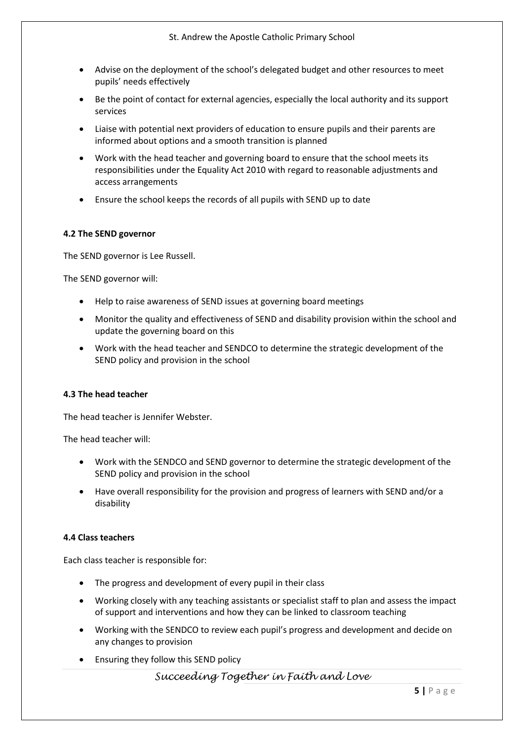- Advise on the deployment of the school's delegated budget and other resources to meet pupils' needs effectively
- Be the point of contact for external agencies, especially the local authority and its support services
- Liaise with potential next providers of education to ensure pupils and their parents are informed about options and a smooth transition is planned
- Work with the head teacher and governing board to ensure that the school meets its responsibilities under the Equality Act 2010 with regard to reasonable adjustments and access arrangements
- Ensure the school keeps the records of all pupils with SEND up to date

#### **4.2 The SEND governor**

The SEND governor is Lee Russell.

The SEND governor will:

- Help to raise awareness of SEND issues at governing board meetings
- Monitor the quality and effectiveness of SEND and disability provision within the school and update the governing board on this
- Work with the head teacher and SENDCO to determine the strategic development of the SEND policy and provision in the school

#### **4.3 The head teacher**

The head teacher is Jennifer Webster.

The head teacher will:

- Work with the SENDCO and SEND governor to determine the strategic development of the SEND policy and provision in the school
- Have overall responsibility for the provision and progress of learners with SEND and/or a disability

## **4.4 Class teachers**

Each class teacher is responsible for:

- The progress and development of every pupil in their class
- Working closely with any teaching assistants or specialist staff to plan and assess the impact of support and interventions and how they can be linked to classroom teaching
- Working with the SENDCO to review each pupil's progress and development and decide on any changes to provision
- Ensuring they follow this SEND policy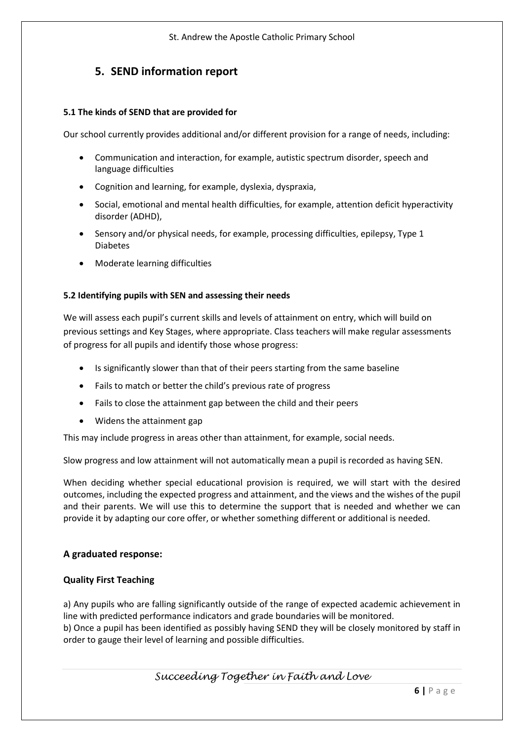# **5. SEND information report**

## **5.1 The kinds of SEND that are provided for**

Our school currently provides additional and/or different provision for a range of needs, including:

- Communication and interaction, for example, autistic spectrum disorder, speech and language difficulties
- Cognition and learning, for example, dyslexia, dyspraxia,
- Social, emotional and mental health difficulties, for example, attention deficit hyperactivity disorder (ADHD),
- Sensory and/or physical needs, for example, processing difficulties, epilepsy, Type 1 Diabetes
- Moderate learning difficulties

# **5.2 Identifying pupils with SEN and assessing their needs**

We will assess each pupil's current skills and levels of attainment on entry, which will build on previous settings and Key Stages, where appropriate. Class teachers will make regular assessments of progress for all pupils and identify those whose progress:

- Is significantly slower than that of their peers starting from the same baseline
- Fails to match or better the child's previous rate of progress
- Fails to close the attainment gap between the child and their peers
- Widens the attainment gap

This may include progress in areas other than attainment, for example, social needs.

Slow progress and low attainment will not automatically mean a pupil is recorded as having SEN.

When deciding whether special educational provision is required, we will start with the desired outcomes, including the expected progress and attainment, and the views and the wishes of the pupil and their parents. We will use this to determine the support that is needed and whether we can provide it by adapting our core offer, or whether something different or additional is needed.

# **A graduated response:**

## **Quality First Teaching**

a) Any pupils who are falling significantly outside of the range of expected academic achievement in line with predicted performance indicators and grade boundaries will be monitored.

b) Once a pupil has been identified as possibly having SEND they will be closely monitored by staff in order to gauge their level of learning and possible difficulties.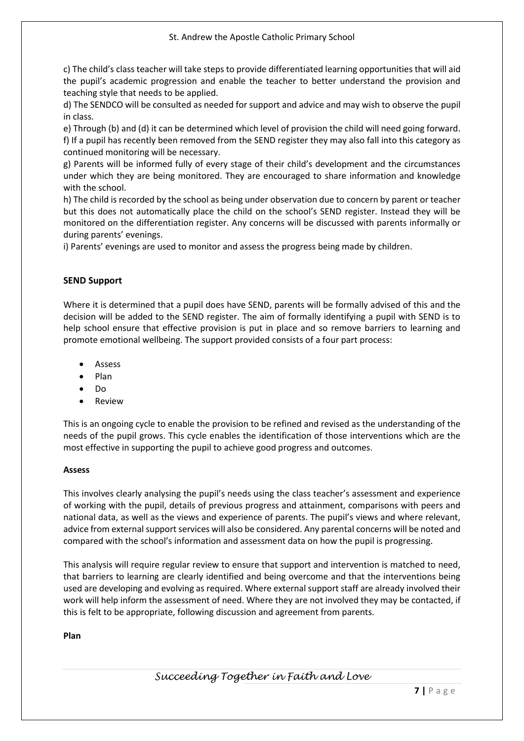c) The child's class teacher will take steps to provide differentiated learning opportunities that will aid the pupil's academic progression and enable the teacher to better understand the provision and teaching style that needs to be applied.

d) The SENDCO will be consulted as needed for support and advice and may wish to observe the pupil in class.

e) Through (b) and (d) it can be determined which level of provision the child will need going forward. f) If a pupil has recently been removed from the SEND register they may also fall into this category as continued monitoring will be necessary.

g) Parents will be informed fully of every stage of their child's development and the circumstances under which they are being monitored. They are encouraged to share information and knowledge with the school.

h) The child is recorded by the school as being under observation due to concern by parent or teacher but this does not automatically place the child on the school's SEND register. Instead they will be monitored on the differentiation register. Any concerns will be discussed with parents informally or during parents' evenings.

i) Parents' evenings are used to monitor and assess the progress being made by children.

## **SEND Support**

Where it is determined that a pupil does have SEND, parents will be formally advised of this and the decision will be added to the SEND register. The aim of formally identifying a pupil with SEND is to help school ensure that effective provision is put in place and so remove barriers to learning and promote emotional wellbeing. The support provided consists of a four part process:

- **Assess**
- Plan
- Do
- Review

This is an ongoing cycle to enable the provision to be refined and revised as the understanding of the needs of the pupil grows. This cycle enables the identification of those interventions which are the most effective in supporting the pupil to achieve good progress and outcomes.

#### **Assess**

This involves clearly analysing the pupil's needs using the class teacher's assessment and experience of working with the pupil, details of previous progress and attainment, comparisons with peers and national data, as well as the views and experience of parents. The pupil's views and where relevant, advice from external support services will also be considered. Any parental concerns will be noted and compared with the school's information and assessment data on how the pupil is progressing.

This analysis will require regular review to ensure that support and intervention is matched to need, that barriers to learning are clearly identified and being overcome and that the interventions being used are developing and evolving as required. Where external support staff are already involved their work will help inform the assessment of need. Where they are not involved they may be contacted, if this is felt to be appropriate, following discussion and agreement from parents.

## **Plan**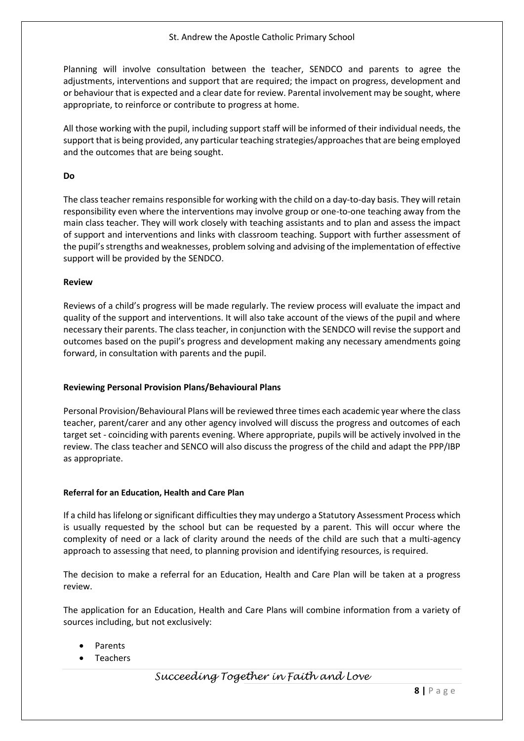Planning will involve consultation between the teacher, SENDCO and parents to agree the adjustments, interventions and support that are required; the impact on progress, development and or behaviour that is expected and a clear date for review. Parental involvement may be sought, where appropriate, to reinforce or contribute to progress at home.

All those working with the pupil, including support staff will be informed of their individual needs, the support that is being provided, any particular teaching strategies/approaches that are being employed and the outcomes that are being sought.

## **Do**

The class teacher remains responsible for working with the child on a day-to-day basis. They will retain responsibility even where the interventions may involve group or one-to-one teaching away from the main class teacher. They will work closely with teaching assistants and to plan and assess the impact of support and interventions and links with classroom teaching. Support with further assessment of the pupil's strengths and weaknesses, problem solving and advising of the implementation of effective support will be provided by the SENDCO.

## **Review**

Reviews of a child's progress will be made regularly. The review process will evaluate the impact and quality of the support and interventions. It will also take account of the views of the pupil and where necessary their parents. The class teacher, in conjunction with the SENDCO will revise the support and outcomes based on the pupil's progress and development making any necessary amendments going forward, in consultation with parents and the pupil.

## **Reviewing Personal Provision Plans/Behavioural Plans**

Personal Provision/Behavioural Plans will be reviewed three times each academic year where the class teacher, parent/carer and any other agency involved will discuss the progress and outcomes of each target set - coinciding with parents evening. Where appropriate, pupils will be actively involved in the review. The class teacher and SENCO will also discuss the progress of the child and adapt the PPP/IBP as appropriate.

## **Referral for an Education, Health and Care Plan**

If a child has lifelong or significant difficulties they may undergo a Statutory Assessment Process which is usually requested by the school but can be requested by a parent. This will occur where the complexity of need or a lack of clarity around the needs of the child are such that a multi-agency approach to assessing that need, to planning provision and identifying resources, is required.

The decision to make a referral for an Education, Health and Care Plan will be taken at a progress review.

The application for an Education, Health and Care Plans will combine information from a variety of sources including, but not exclusively:

- Parents
- **Teachers**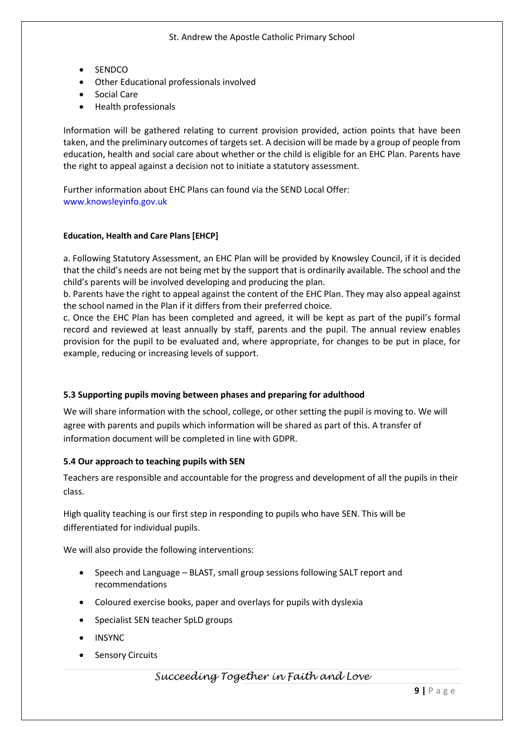- SENDCO
- Other Educational professionals involved
- Social Care
- Health professionals

Information will be gathered relating to current provision provided, action points that have been taken, and the preliminary outcomes of targets set. A decision will be made by a group of people from education, health and social care about whether or the child is eligible for an EHC Plan. Parents have the right to appeal against a decision not to initiate a statutory assessment.

Further information about EHC Plans can found via the SEND Local Offer: www.knowsleyinfo.gov.uk

#### **Education, Health and Care Plans [EHCP]**

a. Following Statutory Assessment, an EHC Plan will be provided by Knowsley Council, if it is decided that the child's needs are not being met by the support that is ordinarily available. The school and the child's parents will be involved developing and producing the plan.

b. Parents have the right to appeal against the content of the EHC Plan. They may also appeal against the school named in the Plan if it differs from their preferred choice.

c. Once the EHC Plan has been completed and agreed, it will be kept as part of the pupil's formal record and reviewed at least annually by staff, parents and the pupil. The annual review enables provision for the pupil to be evaluated and, where appropriate, for changes to be put in place, for example, reducing or increasing levels of support.

#### **5.3 Supporting pupils moving between phases and preparing for adulthood**

We will share information with the school, college, or other setting the pupil is moving to. We will agree with parents and pupils which information will be shared as part of this. A transfer of information document will be completed in line with GDPR.

#### **5.4 Our approach to teaching pupils with SEN**

Teachers are responsible and accountable for the progress and development of all the pupils in their class.

High quality teaching is our first step in responding to pupils who have SEN. This will be differentiated for individual pupils.

We will also provide the following interventions:

- Speech and Language BLAST, small group sessions following SALT report and recommendations
- Coloured exercise books, paper and overlays for pupils with dyslexia
- Specialist SEN teacher SpLD groups
- INSYNC
- **Sensory Circuits**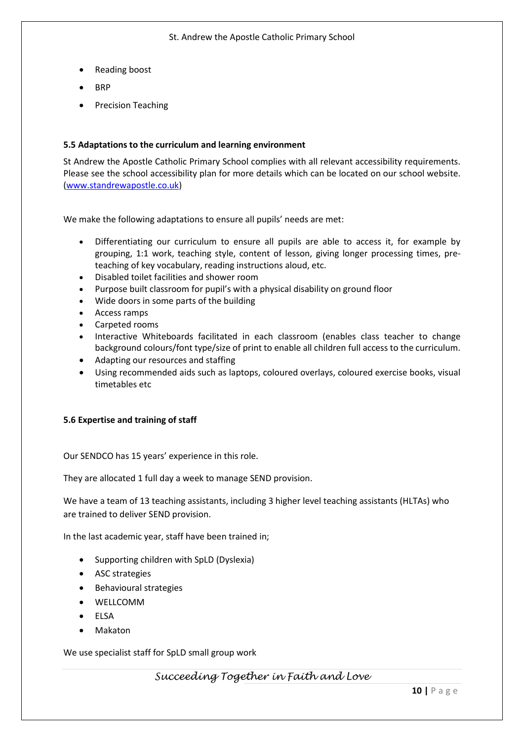- Reading boost
- BRP
- Precision Teaching

#### **5.5 Adaptations to the curriculum and learning environment**

St Andrew the Apostle Catholic Primary School complies with all relevant accessibility requirements. Please see the school accessibility plan for more details which can be located on our school website. [\(www.standrewapostle.co.uk\)](http://www.standrewapostle.co.uk/)

We make the following adaptations to ensure all pupils' needs are met:

- Differentiating our curriculum to ensure all pupils are able to access it, for example by grouping, 1:1 work, teaching style, content of lesson, giving longer processing times, preteaching of key vocabulary, reading instructions aloud, etc.
- Disabled toilet facilities and shower room
- Purpose built classroom for pupil's with a physical disability on ground floor
- Wide doors in some parts of the building
- Access ramps
- Carpeted rooms
- Interactive Whiteboards facilitated in each classroom (enables class teacher to change background colours/font type/size of print to enable all children full access to the curriculum.
- Adapting our resources and staffing
- Using recommended aids such as laptops, coloured overlays, coloured exercise books, visual timetables etc

#### **5.6 Expertise and training of staff**

Our SENDCO has 15 years' experience in this role.

They are allocated 1 full day a week to manage SEND provision.

We have a team of 13 teaching assistants, including 3 higher level teaching assistants (HLTAs) who are trained to deliver SEND provision.

In the last academic year, staff have been trained in;

- Supporting children with SpLD (Dyslexia)
- ASC strategies
- Behavioural strategies
- WELLCOMM
- ELSA
- Makaton

We use specialist staff for SpLD small group work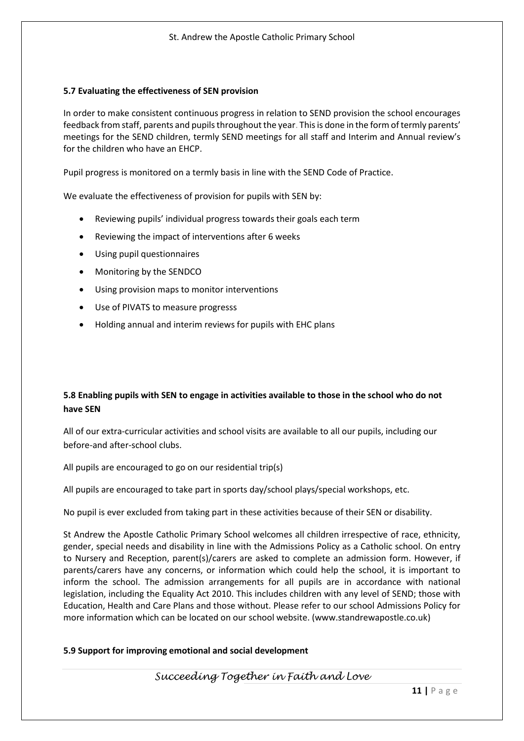#### **5.7 Evaluating the effectiveness of SEN provision**

In order to make consistent continuous progress in relation to SEND provision the school encourages feedback from staff, parents and pupils throughout the year. This is done in the form of termly parents' meetings for the SEND children, termly SEND meetings for all staff and Interim and Annual review's for the children who have an EHCP.

Pupil progress is monitored on a termly basis in line with the SEND Code of Practice.

We evaluate the effectiveness of provision for pupils with SEN by:

- Reviewing pupils' individual progress towards their goals each term
- Reviewing the impact of interventions after 6 weeks
- Using pupil questionnaires
- Monitoring by the SENDCO
- Using provision maps to monitor interventions
- Use of PIVATS to measure progresss
- Holding annual and interim reviews for pupils with EHC plans

# **5.8 Enabling pupils with SEN to engage in activities available to those in the school who do not have SEN**

All of our extra-curricular activities and school visits are available to all our pupils, including our before-and after-school clubs.

All pupils are encouraged to go on our residential trip(s)

All pupils are encouraged to take part in sports day/school plays/special workshops, etc.

No pupil is ever excluded from taking part in these activities because of their SEN or disability.

St Andrew the Apostle Catholic Primary School welcomes all children irrespective of race, ethnicity, gender, special needs and disability in line with the Admissions Policy as a Catholic school. On entry to Nursery and Reception, parent(s)/carers are asked to complete an admission form. However, if parents/carers have any concerns, or information which could help the school, it is important to inform the school. The admission arrangements for all pupils are in accordance with national legislation, including the Equality Act 2010. This includes children with any level of SEND; those with Education, Health and Care Plans and those without. Please refer to our school Admissions Policy for more information which can be located on our school website. (www.standrewapostle.co.uk)

## **5.9 Support for improving emotional and social development**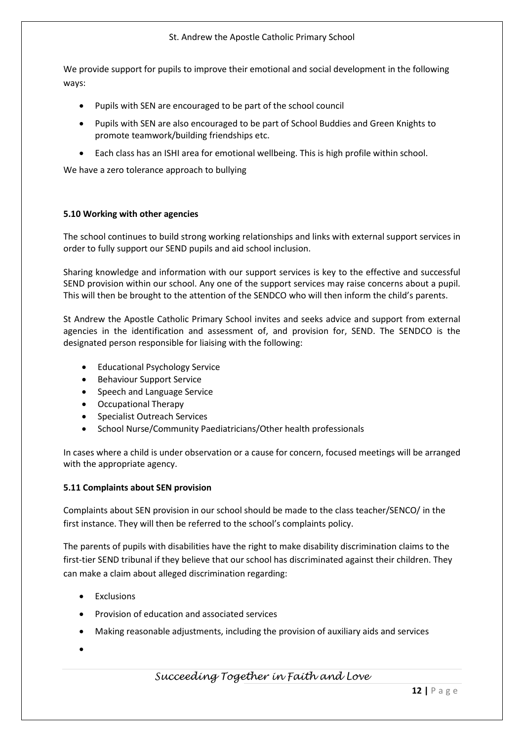#### St. Andrew the Apostle Catholic Primary School

We provide support for pupils to improve their emotional and social development in the following ways:

- Pupils with SEN are encouraged to be part of the school council
- Pupils with SEN are also encouraged to be part of School Buddies and Green Knights to promote teamwork/building friendships etc.
- Each class has an ISHI area for emotional wellbeing. This is high profile within school.

We have a zero tolerance approach to bullying

#### **5.10 Working with other agencies**

The school continues to build strong working relationships and links with external support services in order to fully support our SEND pupils and aid school inclusion.

Sharing knowledge and information with our support services is key to the effective and successful SEND provision within our school. Any one of the support services may raise concerns about a pupil. This will then be brought to the attention of the SENDCO who will then inform the child's parents.

St Andrew the Apostle Catholic Primary School invites and seeks advice and support from external agencies in the identification and assessment of, and provision for, SEND. The SENDCO is the designated person responsible for liaising with the following:

- Educational Psychology Service
- Behaviour Support Service
- Speech and Language Service
- Occupational Therapy
- Specialist Outreach Services
- School Nurse/Community Paediatricians/Other health professionals

In cases where a child is under observation or a cause for concern, focused meetings will be arranged with the appropriate agency.

## **5.11 Complaints about SEN provision**

Complaints about SEN provision in our school should be made to the class teacher/SENCO/ in the first instance. They will then be referred to the school's complaints policy.

The parents of pupils with disabilities have the right to make disability discrimination claims to the first-tier SEND tribunal if they believe that our school has discriminated against their children. They can make a claim about alleged discrimination regarding:

- **Exclusions**
- Provision of education and associated services
- Making reasonable adjustments, including the provision of auxiliary aids and services
- •